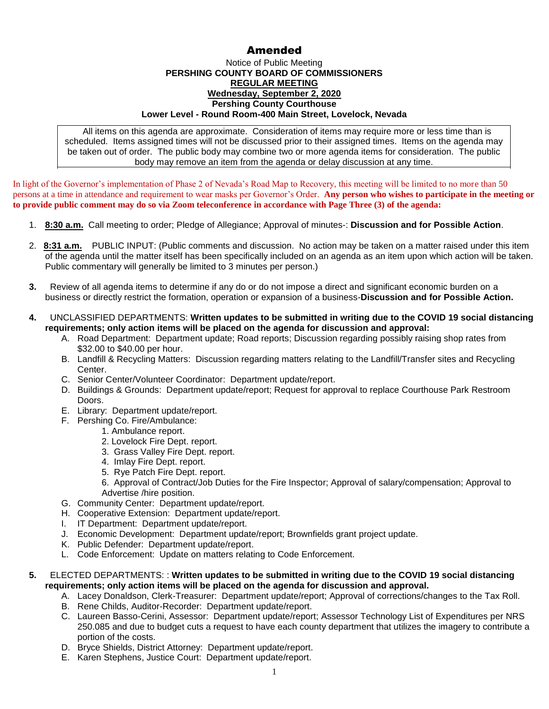## Amended

## Notice of Public Meeting **PERSHING COUNTY BOARD OF COMMISSIONERS REGULAR MEETING Wednesday, September 2, 2020 Pershing County Courthouse Lower Level - Round Room-400 Main Street, Lovelock, Nevada**

All items on this agenda are approximate. Consideration of items may require more or less time than is scheduled. Items assigned times will not be discussed prior to their assigned times. Items on the agenda may be taken out of order. The public body may combine two or more agenda items for consideration. The public body may remove an item from the agenda or delay discussion at any time.

In light of the Governor's implementation of Phase 2 of Nevada's Road Map to Recovery, this meeting will be limited to no more than 50 persons at a time in attendance and requirement to wear masks per Governor's Order. **Any person who wishes to participate in the meeting or to provide public comment may do so via Zoom teleconference in accordance with Page Three (3) of the agenda:** 

- 1. **8:30 a.m.** Call meeting to order; Pledge of Allegiance; Approval of minutes-: **Discussion and for Possible Action**.
- 2. **8:31 a.m.** PUBLIC INPUT: (Public comments and discussion. No action may be taken on a matter raised under this item of the agenda until the matter itself has been specifically included on an agenda as an item upon which action will be taken. Public commentary will generally be limited to 3 minutes per person.)
- **3.** Review of all agenda items to determine if any do or do not impose a direct and significant economic burden on a business or directly restrict the formation, operation or expansion of a business-**Discussion and for Possible Action.**
- **4.** UNCLASSIFIED DEPARTMENTS: **Written updates to be submitted in writing due to the COVID 19 social distancing requirements; only action items will be placed on the agenda for discussion and approval:**
	- A. Road Department: Department update; Road reports; Discussion regarding possibly raising shop rates from \$32.00 to \$40.00 per hour.
	- B. Landfill & Recycling Matters: Discussion regarding matters relating to the Landfill/Transfer sites and Recycling Center.
	- C. Senior Center/Volunteer Coordinator: Department update/report.
	- D. Buildings & Grounds: Department update/report; Request for approval to replace Courthouse Park Restroom Doors.
	- E. Library: Department update/report.
	- F. Pershing Co. Fire/Ambulance:
		- 1. Ambulance report.
		- 2. Lovelock Fire Dept. report.
		- 3. Grass Valley Fire Dept. report.
		- 4. Imlay Fire Dept. report.
		- 5. Rye Patch Fire Dept. report.
		- 6. Approval of Contract/Job Duties for the Fire Inspector; Approval of salary/compensation; Approval to Advertise /hire position.
	- G. Community Center: Department update/report.
	- H. Cooperative Extension: Department update/report.
	- I. IT Department: Department update/report.
	- J. Economic Development: Department update/report; Brownfields grant project update.
	- K. Public Defender: Department update/report.
	- L. Code Enforcement: Update on matters relating to Code Enforcement.

## **5.** ELECTED DEPARTMENTS: : **Written updates to be submitted in writing due to the COVID 19 social distancing requirements; only action items will be placed on the agenda for discussion and approval.**

- A. Lacey Donaldson, Clerk-Treasurer: Department update/report; Approval of corrections/changes to the Tax Roll.
- B. Rene Childs, Auditor-Recorder: Department update/report.
- C. Laureen Basso-Cerini, Assessor: Department update/report; Assessor Technology List of Expenditures per NRS 250.085 and due to budget cuts a request to have each county department that utilizes the imagery to contribute a portion of the costs.
- D. Bryce Shields, District Attorney: Department update/report.
- E. Karen Stephens, Justice Court: Department update/report.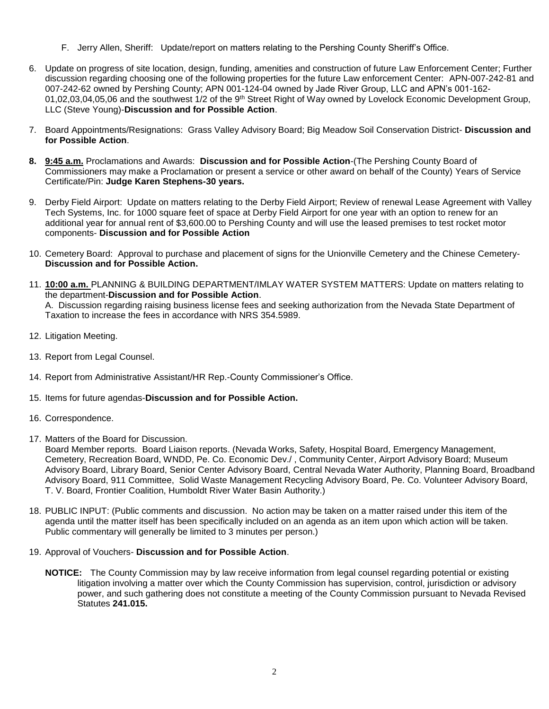- F. Jerry Allen, Sheriff: Update/report on matters relating to the Pershing County Sheriff's Office.
- 6. Update on progress of site location, design, funding, amenities and construction of future Law Enforcement Center; Further discussion regarding choosing one of the following properties for the future Law enforcement Center: APN-007-242-81 and 007-242-62 owned by Pershing County; APN 001-124-04 owned by Jade River Group, LLC and APN's 001-162- 01,02,03,04,05,06 and the southwest 1/2 of the 9<sup>th</sup> Street Right of Way owned by Lovelock Economic Development Group, LLC (Steve Young)-**Discussion and for Possible Action**.
- 7. Board Appointments/Resignations: Grass Valley Advisory Board; Big Meadow Soil Conservation District- **Discussion and for Possible Action**.
- **8. 9:45 a.m.** Proclamations and Awards: **Discussion and for Possible Action**-(The Pershing County Board of Commissioners may make a Proclamation or present a service or other award on behalf of the County) Years of Service Certificate/Pin: **Judge Karen Stephens-30 years.**
- 9. Derby Field Airport: Update on matters relating to the Derby Field Airport; Review of renewal Lease Agreement with Valley Tech Systems, Inc. for 1000 square feet of space at Derby Field Airport for one year with an option to renew for an additional year for annual rent of \$3,600.00 to Pershing County and will use the leased premises to test rocket motor components- **Discussion and for Possible Action**
- 10. Cemetery Board: Approval to purchase and placement of signs for the Unionville Cemetery and the Chinese Cemetery-**Discussion and for Possible Action.**
- 11. **10:00 a.m.** PLANNING & BUILDING DEPARTMENT/IMLAY WATER SYSTEM MATTERS: Update on matters relating to the department-**Discussion and for Possible Action**. A. Discussion regarding raising business license fees and seeking authorization from the Nevada State Department of Taxation to increase the fees in accordance with NRS 354.5989.
- 12. Litigation Meeting.
- 13. Report from Legal Counsel.
- 14. Report from Administrative Assistant/HR Rep.-County Commissioner's Office.
- 15. Items for future agendas-**Discussion and for Possible Action.**
- 16. Correspondence.
- 17. Matters of the Board for Discussion.

Board Member reports. Board Liaison reports. (Nevada Works, Safety, Hospital Board, Emergency Management, Cemetery, Recreation Board, WNDD, Pe. Co. Economic Dev./ , Community Center, Airport Advisory Board; Museum Advisory Board, Library Board, Senior Center Advisory Board, Central Nevada Water Authority, Planning Board, Broadband Advisory Board, 911 Committee, Solid Waste Management Recycling Advisory Board, Pe. Co. Volunteer Advisory Board, T. V. Board, Frontier Coalition, Humboldt River Water Basin Authority.)

- 18. PUBLIC INPUT: (Public comments and discussion. No action may be taken on a matter raised under this item of the agenda until the matter itself has been specifically included on an agenda as an item upon which action will be taken. Public commentary will generally be limited to 3 minutes per person.)
- 19. Approval of Vouchers- **Discussion and for Possible Action**.
	- **NOTICE:** The County Commission may by law receive information from legal counsel regarding potential or existing litigation involving a matter over which the County Commission has supervision, control, jurisdiction or advisory power, and such gathering does not constitute a meeting of the County Commission pursuant to Nevada Revised Statutes **241.015.**